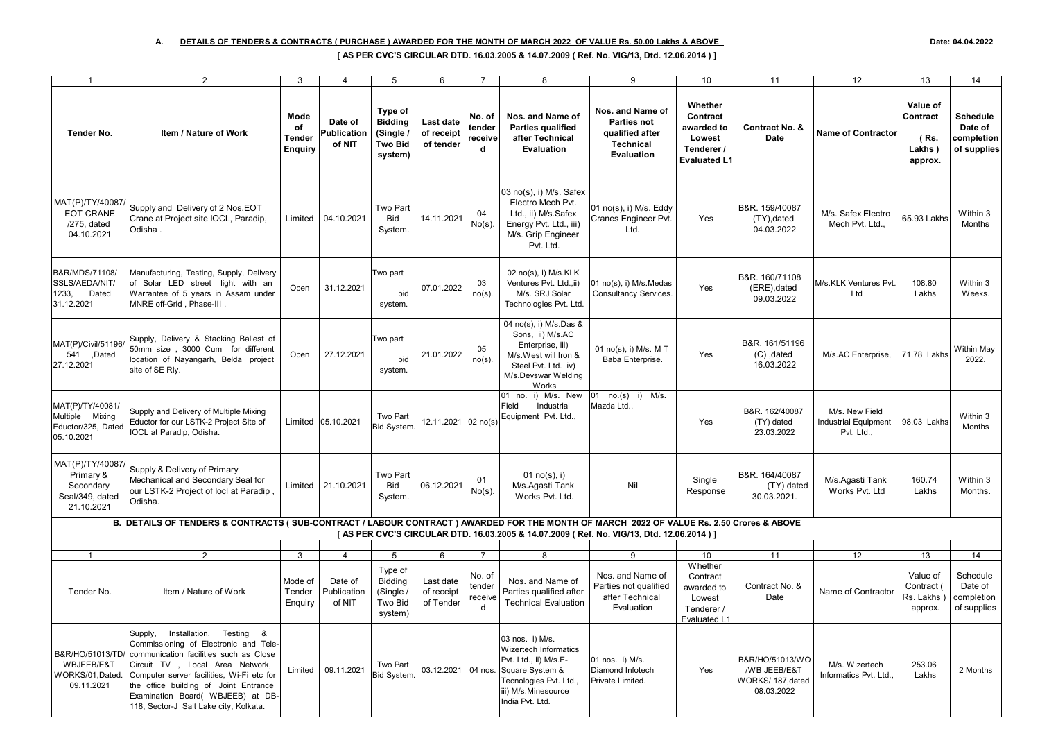| $\mathbf{1}$                                                                | $\overline{2}$                                                                                                                                                                                                                                                                                                             | 3                                             | $\overline{4}$                   | 5                                                                   | 6                                    | $\overline{7}$                   | 8                                                                                                                                                                | 9                                                                                    | 10                                                                               | 11                                                                 | 12                                                          | 13                                                | 14                                                      |
|-----------------------------------------------------------------------------|----------------------------------------------------------------------------------------------------------------------------------------------------------------------------------------------------------------------------------------------------------------------------------------------------------------------------|-----------------------------------------------|----------------------------------|---------------------------------------------------------------------|--------------------------------------|----------------------------------|------------------------------------------------------------------------------------------------------------------------------------------------------------------|--------------------------------------------------------------------------------------|----------------------------------------------------------------------------------|--------------------------------------------------------------------|-------------------------------------------------------------|---------------------------------------------------|---------------------------------------------------------|
| Tender No.                                                                  | Item / Nature of Work                                                                                                                                                                                                                                                                                                      | Mode<br>of<br><b>Tender</b><br><b>Enguiry</b> | Date of<br>Publication<br>of NIT | Type of<br><b>Bidding</b><br>(Single /<br><b>Two Bid</b><br>system) | Last date<br>of receipt<br>of tender | No. of<br>tender<br>receive<br>d | Nos. and Name of<br><b>Parties qualified</b><br>after Technical<br>Evaluation                                                                                    | Nos. and Name of<br><b>Parties not</b><br>qualified after<br>Technical<br>Evaluation | Whether<br>Contract<br>awarded to<br>Lowest<br>Tenderer /<br><b>Evaluated L1</b> | Contract No. &<br><b>Date</b>                                      | <b>Name of Contractor</b>                                   | Value of<br>Contract<br>(Rs.<br>Lakhs)<br>approx. | <b>Schedule</b><br>Date of<br>completion<br>of supplies |
| MAT(P)/TY/40087<br><b>EOT CRANE</b><br>/275, dated<br>04.10.2021            | Supply and Delivery of 2 Nos.EOT<br>Crane at Project site IOCL, Paradip,<br>Odisha.                                                                                                                                                                                                                                        | Limited                                       | 04.10.2021                       | <b>Two Part</b><br><b>Bid</b><br>System.                            | 14.11.2021                           | 04<br>$No(s)$ .                  | 03 no(s), i) M/s. Safex<br>Electro Mech Pvt.<br>Ltd., ii) M/s.Safex<br>Energy Pvt. Ltd., iii)<br>M/s. Grip Engineer<br>Pvt. Ltd.                                 | 01 no(s), i) M/s. Eddy<br>Cranes Engineer Pvt.<br>Ltd.                               | Yes                                                                              | B&R. 159/40087<br>(TY), dated<br>04.03.2022                        | M/s. Safex Electro<br>Mech Pvt. Ltd.,                       | 65.93 Lakhs                                       | Within 3<br>Months                                      |
| B&R/MDS/71108/<br>SSLS/AEDA/NIT/<br>1233,<br>Dated<br>31.12.2021            | Manufacturing, Testing, Supply, Delivery<br>of Solar LED street light with an<br>Warrantee of 5 years in Assam under<br>MNRE off-Grid, Phase-III.                                                                                                                                                                          | Open                                          | 31.12.2021                       | Two part<br>bid<br>system.                                          | 07.01.2022                           | 03<br>$no(s)$ .                  | 02 no(s), i) M/s.KLK<br>Ventures Pvt. Ltd., ii)<br>M/s. SRJ Solar<br>Technologies Pvt. Ltd.                                                                      | 01 no(s), i) M/s.Medas<br><b>Consultancy Services</b>                                | Yes                                                                              | B&R. 160/71108<br>(ERE), dated<br>09.03.2022                       | M/s.KLK Ventures Pvt.<br>Ltd                                | 108.80<br>Lakhs                                   | Within 3<br>Weeks.                                      |
| MAT(P)/Civil/51196/<br>541 ,Dated<br>27.12.2021                             | Supply, Delivery & Stacking Ballest of<br>50mm size, 3000 Cum for different<br>location of Nayangarh, Belda project<br>site of SE Rly.                                                                                                                                                                                     | Open                                          | 27.12.2021                       | Two part<br>bid<br>system.                                          | 21.01.2022                           | 05<br>$no(s)$ .                  | 04 no(s), i) M/s.Das &<br>Sons, ii) M/s.AC<br>Enterprise, iii)<br>M/s.West will Iron &<br>Steel Pvt. Ltd. iv)<br>M/s.Devswar Welding<br>Works                    | 01 no(s), i) M/s. M T<br>Baba Enterprise.                                            | Yes                                                                              | B&R. 161/51196<br>$(C)$ , dated<br>16.03.2022                      | M/s.AC Enterprise,                                          | 71.78 Lakhs                                       | Within May<br>2022.                                     |
| MAT(P)/TY/40081/<br>Multiple Mixing<br>Eductor/325, Dated<br>05.10.2021     | Supply and Delivery of Multiple Mixing<br>Eductor for our LSTK-2 Project Site of<br>IOCL at Paradip, Odisha.                                                                                                                                                                                                               |                                               | Limited 05.10.2021               | Two Part<br><b>Bid System</b>                                       | 12.11.2021 02 no(s)                  |                                  | 01 no. i) M/s. New<br>Field<br>Industrial<br>Equipment Pvt. Ltd.,                                                                                                | 01 no.(s) i) M/s.<br>Mazda Ltd.,                                                     | Yes                                                                              | B&R. 162/40087<br>(TY) dated<br>23.03.2022                         | M/s. New Field<br><b>Industrial Equipment</b><br>Pvt. Ltd., | 98.03 Lakhs                                       | Within 3<br>Months                                      |
| MAT(P)/TY/40087/<br>Primary &<br>Secondary<br>Seal/349, dated<br>21.10.2021 | Supply & Delivery of Primary<br>Mechanical and Secondary Seal for<br>our LSTK-2 Project of locl at Paradip<br>Odisha.                                                                                                                                                                                                      | Limited                                       | 21.10.2021                       | <b>Two Part</b><br><b>Bid</b><br>System.                            | 06.12.2021                           | 01<br>$No(s)$ .                  | 01 $no(s)$ , i)<br>M/s.Agasti Tank<br>Works Pvt. Ltd.                                                                                                            | Nil                                                                                  | Single<br>Response                                                               | B&R. 164/40087<br>(TY) dated<br>30.03.2021.                        | M/s.Agasti Tank<br>Works Pvt. Ltd                           | 160.74<br>Lakhs                                   | Within 3<br>Months.                                     |
|                                                                             | B. DETAILS OF TENDERS & CONTRACTS (SUB-CONTRACT / LABOUR CONTRACT ) AWARDED FOR THE MONTH OF MARCH 2022 OF VALUE Rs. 2.50 Crores & ABOVE                                                                                                                                                                                   |                                               |                                  |                                                                     |                                      |                                  |                                                                                                                                                                  |                                                                                      |                                                                                  |                                                                    |                                                             |                                                   |                                                         |
|                                                                             |                                                                                                                                                                                                                                                                                                                            |                                               |                                  |                                                                     |                                      |                                  | [AS PER CVC'S CIRCULAR DTD. 16.03.2005 & 14.07.2009 ( Ref. No. VIG/13, Dtd. 12.06.2014 ) ]                                                                       |                                                                                      |                                                                                  |                                                                    |                                                             |                                                   |                                                         |
|                                                                             | 2                                                                                                                                                                                                                                                                                                                          | 3                                             | $\overline{4}$                   | 5                                                                   | 6                                    | $\overline{7}$                   | 8                                                                                                                                                                | 9                                                                                    | 10 <sup>1</sup>                                                                  | 11                                                                 | 12                                                          | 13                                                | 14                                                      |
| Tender No.                                                                  | Item / Nature of Work                                                                                                                                                                                                                                                                                                      | Mode of<br>Tender<br>Enquiry                  | Date of<br>Publication<br>of NIT | Type of<br>Bidding<br>(Single /<br>Two Bid<br>system)               | Last date<br>of receipt<br>of Tender | No. of<br>tender<br>eceive<br>d  | Nos. and Name of<br>Parties qualified after<br><b>Technical Evaluation</b>                                                                                       | Nos. and Name of<br>Parties not qualified<br>after Technical<br>Evaluation           | Whether<br>Contract<br>awarded to<br>Lowest<br>Tenderer /<br>Evaluated L1        | Contract No. &<br>Date                                             | Name of Contractor                                          | Value of<br>Contract (<br>Rs. Lakhs<br>approx.    | Schedule<br>Date of<br>completion<br>of supplies        |
| B&R/HO/51013/TD/<br>WBJEEB/E&T<br>WORKS/01, Dated.<br>09.11.2021            | Supply, Installation, Testing &<br>Commissioning of Electronic and Tele-<br>communication facilities such as Close<br>Circuit TV, Local Area Network,<br>Computer server facilities, Wi-Fi etc for<br>the office building of Joint Entrance<br>Examination Board( WBJEEB) at DB-<br>118, Sector-J Salt Lake city, Kolkata. | Limited                                       | 09.11.2021                       | Two Part<br>Bid System.                                             | 03.12.2021                           |                                  | 03 nos. i) M/s.<br>Wizertech Informatics<br>Pvt. Ltd., ii) M/s.E-<br>04 nos. Square System &<br>Tecnologies Pvt. Ltd.,<br>iii) M/s.Minesource<br>India Pvt. Ltd. | 01 nos. i) M/s.<br>Diamond Infotech<br>Private Limited.                              | Yes                                                                              | B&R/HO/51013/WO<br>/WB JEEB/E&T<br>WORKS/ 187, dated<br>08.03.2022 | M/s. Wizertech<br>Informatics Pvt. Ltd.                     | 253.06<br>Lakhs                                   | 2 Months                                                |